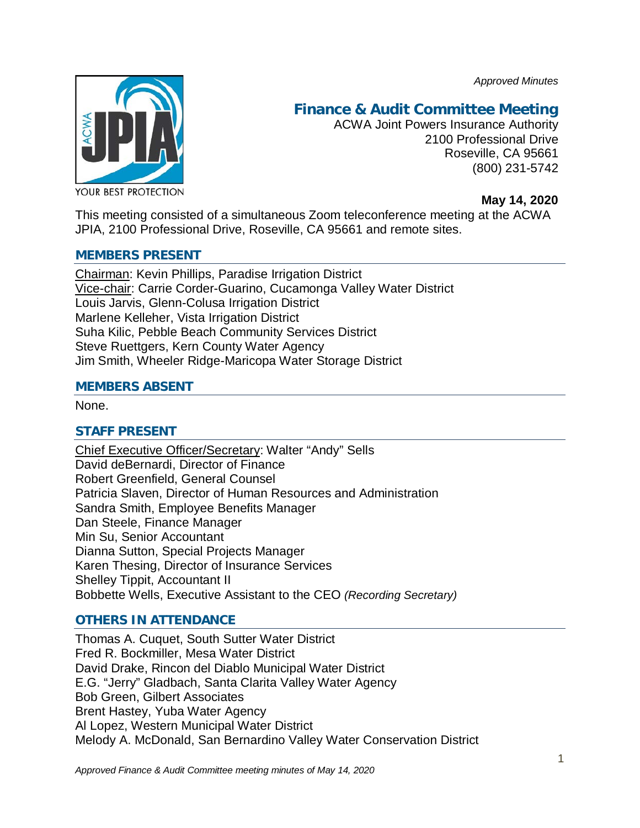*Approved Minutes*



# **Finance & Audit Committee Meeting**

ACWA Joint Powers Insurance Authority 2100 Professional Drive Roseville, CA 95661 (800) 231-5742

**May 14, 2020**

This meeting consisted of a simultaneous Zoom teleconference meeting at the ACWA JPIA, 2100 Professional Drive, Roseville, CA 95661 and remote sites.

### **MEMBERS PRESENT**

Chairman: Kevin Phillips, Paradise Irrigation District Vice-chair: Carrie Corder-Guarino, Cucamonga Valley Water District Louis Jarvis, Glenn-Colusa Irrigation District Marlene Kelleher, Vista Irrigation District Suha Kilic, Pebble Beach Community Services District Steve Ruettgers, Kern County Water Agency Jim Smith, Wheeler Ridge-Maricopa Water Storage District

### **MEMBERS ABSENT**

None.

# **STAFF PRESENT**

Chief Executive Officer/Secretary: Walter "Andy" Sells David deBernardi, Director of Finance Robert Greenfield, General Counsel Patricia Slaven, Director of Human Resources and Administration Sandra Smith, Employee Benefits Manager Dan Steele, Finance Manager Min Su, Senior Accountant Dianna Sutton, Special Projects Manager Karen Thesing, Director of Insurance Services Shelley Tippit, Accountant II Bobbette Wells, Executive Assistant to the CEO *(Recording Secretary)*

# **OTHERS IN ATTENDANCE**

Thomas A. Cuquet, South Sutter Water District Fred R. Bockmiller, Mesa Water District David Drake, Rincon del Diablo Municipal Water District E.G. "Jerry" Gladbach, Santa Clarita Valley Water Agency Bob Green, Gilbert Associates Brent Hastey, Yuba Water Agency Al Lopez, Western Municipal Water District Melody A. McDonald, San Bernardino Valley Water Conservation District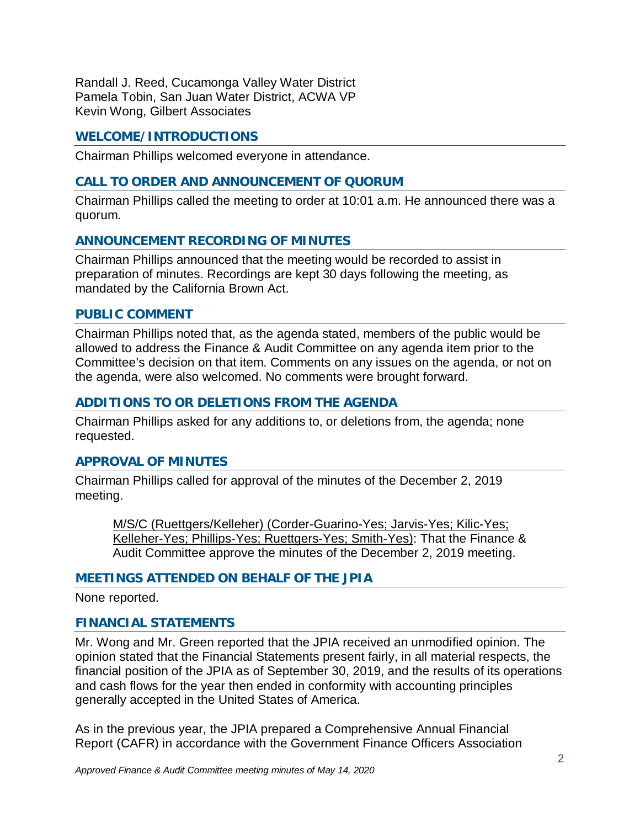Randall J. Reed, Cucamonga Valley Water District Pamela Tobin, San Juan Water District, ACWA VP Kevin Wong, Gilbert Associates

### **WELCOME/INTRODUCTIONS**

Chairman Phillips welcomed everyone in attendance.

### **CALL TO ORDER AND ANNOUNCEMENT OF QUORUM**

Chairman Phillips called the meeting to order at 10:01 a.m. He announced there was a quorum.

#### **ANNOUNCEMENT RECORDING OF MINUTES**

Chairman Phillips announced that the meeting would be recorded to assist in preparation of minutes. Recordings are kept 30 days following the meeting, as mandated by the California Brown Act.

#### **PUBLIC COMMENT**

Chairman Phillips noted that, as the agenda stated, members of the public would be allowed to address the Finance & Audit Committee on any agenda item prior to the Committee's decision on that item. Comments on any issues on the agenda, or not on the agenda, were also welcomed. No comments were brought forward.

### **ADDITIONS TO OR DELETIONS FROM THE AGENDA**

Chairman Phillips asked for any additions to, or deletions from, the agenda; none requested.

#### **APPROVAL OF MINUTES**

Chairman Phillips called for approval of the minutes of the December 2, 2019 meeting.

M/S/C (Ruettgers/Kelleher) (Corder-Guarino-Yes; Jarvis-Yes; Kilic-Yes; Kelleher-Yes; Phillips-Yes; Ruettgers-Yes; Smith-Yes): That the Finance & Audit Committee approve the minutes of the December 2, 2019 meeting.

#### **MEETINGS ATTENDED ON BEHALF OF THE JPIA**

None reported.

# **FINANCIAL STATEMENTS**

Mr. Wong and Mr. Green reported that the JPIA received an unmodified opinion. The opinion stated that the Financial Statements present fairly, in all material respects, the financial position of the JPIA as of September 30, 2019, and the results of its operations and cash flows for the year then ended in conformity with accounting principles generally accepted in the United States of America.

As in the previous year, the JPIA prepared a Comprehensive Annual Financial Report (CAFR) in accordance with the Government Finance Officers Association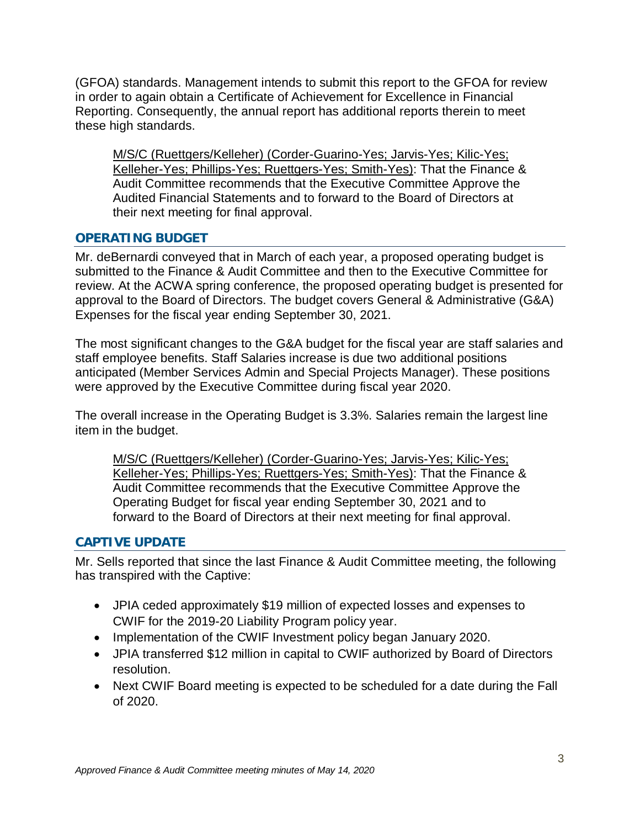(GFOA) standards. Management intends to submit this report to the GFOA for review in order to again obtain a Certificate of Achievement for Excellence in Financial Reporting. Consequently, the annual report has additional reports therein to meet these high standards.

M/S/C (Ruettgers/Kelleher) (Corder-Guarino-Yes; Jarvis-Yes; Kilic-Yes; Kelleher-Yes; Phillips-Yes; Ruettgers-Yes; Smith-Yes): That the Finance & Audit Committee recommends that the Executive Committee Approve the Audited Financial Statements and to forward to the Board of Directors at their next meeting for final approval.

# **OPERATING BUDGET**

Mr. deBernardi conveyed that in March of each year, a proposed operating budget is submitted to the Finance & Audit Committee and then to the Executive Committee for review. At the ACWA spring conference, the proposed operating budget is presented for approval to the Board of Directors. The budget covers General & Administrative (G&A) Expenses for the fiscal year ending September 30, 2021.

The most significant changes to the G&A budget for the fiscal year are staff salaries and staff employee benefits. Staff Salaries increase is due two additional positions anticipated (Member Services Admin and Special Projects Manager). These positions were approved by the Executive Committee during fiscal year 2020.

The overall increase in the Operating Budget is 3.3%. Salaries remain the largest line item in the budget.

M/S/C (Ruettgers/Kelleher) (Corder-Guarino-Yes; Jarvis-Yes; Kilic-Yes; Kelleher-Yes; Phillips-Yes; Ruettgers-Yes; Smith-Yes): That the Finance & Audit Committee recommends that the Executive Committee Approve the Operating Budget for fiscal year ending September 30, 2021 and to forward to the Board of Directors at their next meeting for final approval.

# **CAPTIVE UPDATE**

Mr. Sells reported that since the last Finance & Audit Committee meeting, the following has transpired with the Captive:

- JPIA ceded approximately \$19 million of expected losses and expenses to CWIF for the 2019-20 Liability Program policy year.
- Implementation of the CWIF Investment policy began January 2020.
- JPIA transferred \$12 million in capital to CWIF authorized by Board of Directors resolution.
- Next CWIF Board meeting is expected to be scheduled for a date during the Fall of 2020.